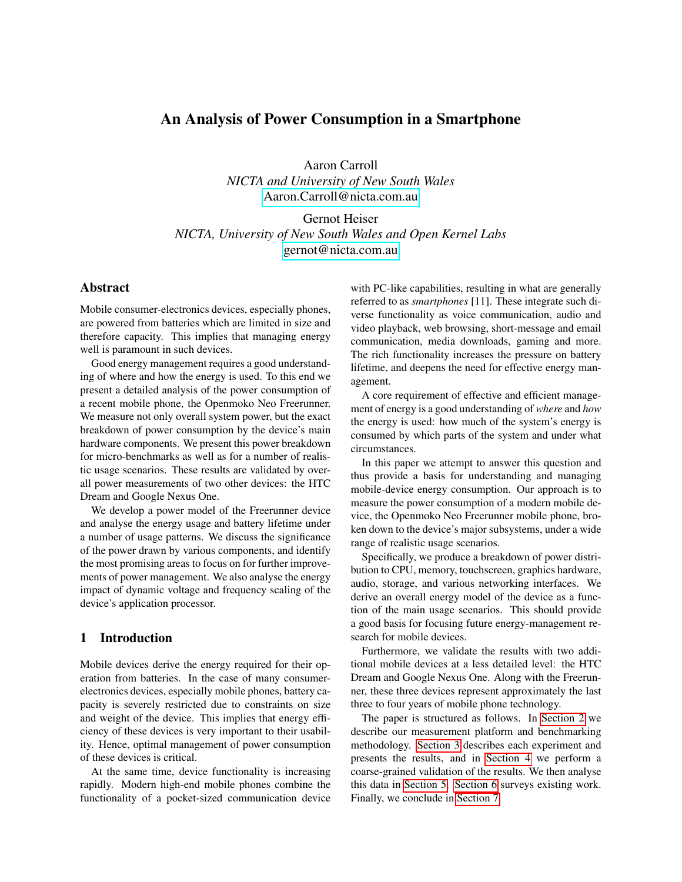# An Analysis of Power Consumption in a Smartphone

Aaron Carroll *NICTA and University of New South Wales* [Aaron.Carroll@nicta.com.au](mailto:Aaron.Carroll@nicta.com.au)

Gernot Heiser *NICTA, University of New South Wales and Open Kernel Labs* [gernot@nicta.com.au](mailto:gernot@nicta.com.au)

# Abstract

Mobile consumer-electronics devices, especially phones, are powered from batteries which are limited in size and therefore capacity. This implies that managing energy well is paramount in such devices.

Good energy management requires a good understanding of where and how the energy is used. To this end we present a detailed analysis of the power consumption of a recent mobile phone, the Openmoko Neo Freerunner. We measure not only overall system power, but the exact breakdown of power consumption by the device's main hardware components. We present this power breakdown for micro-benchmarks as well as for a number of realistic usage scenarios. These results are validated by overall power measurements of two other devices: the HTC Dream and Google Nexus One.

We develop a power model of the Freerunner device and analyse the energy usage and battery lifetime under a number of usage patterns. We discuss the significance of the power drawn by various components, and identify the most promising areas to focus on for further improvements of power management. We also analyse the energy impact of dynamic voltage and frequency scaling of the device's application processor.

## 1 Introduction

Mobile devices derive the energy required for their operation from batteries. In the case of many consumerelectronics devices, especially mobile phones, battery capacity is severely restricted due to constraints on size and weight of the device. This implies that energy efficiency of these devices is very important to their usability. Hence, optimal management of power consumption of these devices is critical.

At the same time, device functionality is increasing rapidly. Modern high-end mobile phones combine the functionality of a pocket-sized communication device with PC-like capabilities, resulting in what are generally referred to as *smartphones* [11]. These integrate such diverse functionality as voice communication, audio and video playback, web browsing, short-message and email communication, media downloads, gaming and more. The rich functionality increases the pressure on battery lifetime, and deepens the need for effective energy management.

A core requirement of effective and efficient management of energy is a good understanding of *where* and *how* the energy is used: how much of the system's energy is consumed by which parts of the system and under what circumstances.

In this paper we attempt to answer this question and thus provide a basis for understanding and managing mobile-device energy consumption. Our approach is to measure the power consumption of a modern mobile device, the Openmoko Neo Freerunner mobile phone, broken down to the device's major subsystems, under a wide range of realistic usage scenarios.

Specifically, we produce a breakdown of power distribution to CPU, memory, touchscreen, graphics hardware, audio, storage, and various networking interfaces. We derive an overall energy model of the device as a function of the main usage scenarios. This should provide a good basis for focusing future energy-management research for mobile devices.

Furthermore, we validate the results with two additional mobile devices at a less detailed level: the HTC Dream and Google Nexus One. Along with the Freerunner, these three devices represent approximately the last three to four years of mobile phone technology.

The paper is structured as follows. In [Section 2](#page-1-0) we describe our measurement platform and benchmarking methodology. [Section 3](#page-3-0) describes each experiment and presents the results, and in [Section 4](#page-8-0) we perform a coarse-grained validation of the results. We then analyse this data in [Section 5.](#page-10-0) [Section 6](#page-12-0) surveys existing work. Finally, we conclude in [Section 7.](#page-12-1)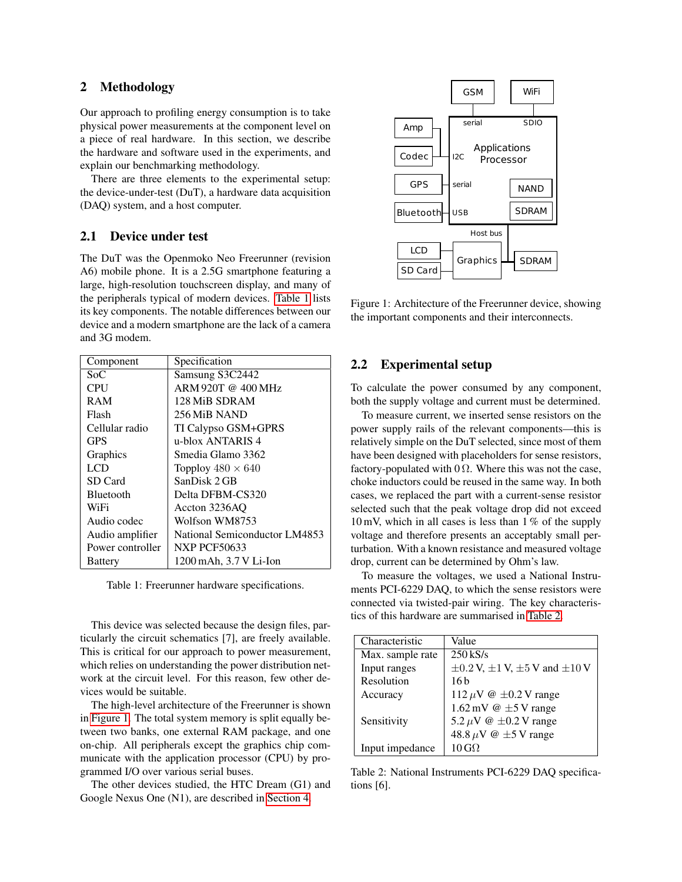## <span id="page-1-0"></span>2 Methodology

Our approach to profiling energy consumption is to take physical power measurements at the component level on a piece of real hardware. In this section, we describe the hardware and software used in the experiments, and explain our benchmarking methodology.

There are three elements to the experimental setup: the device-under-test (DuT), a hardware data acquisition (DAQ) system, and a host computer.

# 2.1 Device under test

The DuT was the Openmoko Neo Freerunner (revision A6) mobile phone. It is a 2.5G smartphone featuring a large, high-resolution touchscreen display, and many of the peripherals typical of modern devices. [Table 1](#page-1-1) lists its key components. The notable differences between our device and a modern smartphone are the lack of a camera and 3G modem.

| Component        | Specification                 |
|------------------|-------------------------------|
| Soc              | Samsung S3C2442               |
| CPU              | ARM 920T @ 400 MHz            |
| <b>RAM</b>       | 128 MiB SDRAM                 |
| Flash            | 256 MiB NAND                  |
| Cellular radio   | TI Calypso GSM+GPRS           |
| <b>GPS</b>       | u-blox ANTARIS 4              |
| Graphics         | Smedia Glamo 3362             |
| LCD              | Topploy $480 \times 640$      |
| SD Card          | SanDisk 2 GB                  |
| <b>Bluetooth</b> | Delta DFBM-CS320              |
| WiFi             | Accton 3236AO                 |
| Audio codec      | Wolfson WM8753                |
| Audio amplifier  | National Semiconductor LM4853 |
| Power controller | <b>NXP PCF50633</b>           |
| <b>Battery</b>   | 1200 mAh, 3.7 V Li-Ion        |

<span id="page-1-1"></span>Table 1: Freerunner hardware specifications.

This device was selected because the design files, particularly the circuit schematics [7], are freely available. This is critical for our approach to power measurement, which relies on understanding the power distribution network at the circuit level. For this reason, few other devices would be suitable.

The high-level architecture of the Freerunner is shown in [Figure 1.](#page-1-2) The total system memory is split equally between two banks, one external RAM package, and one on-chip. All peripherals except the graphics chip communicate with the application processor (CPU) by programmed I/O over various serial buses.

The other devices studied, the HTC Dream (G1) and Google Nexus One (N1), are described in [Section 4.](#page-8-0)



<span id="page-1-2"></span>Figure 1: Architecture of the Freerunner device, showing the important components and their interconnects.

## 2.2 Experimental setup

To calculate the power consumed by any component, both the supply voltage and current must be determined.

To measure current, we inserted sense resistors on the power supply rails of the relevant components—this is relatively simple on the DuT selected, since most of them have been designed with placeholders for sense resistors, factory-populated with  $0 \Omega$ . Where this was not the case, choke inductors could be reused in the same way. In both cases, we replaced the part with a current-sense resistor selected such that the peak voltage drop did not exceed  $10 \text{ mV}$ , which in all cases is less than  $1\%$  of the supply voltage and therefore presents an acceptably small perturbation. With a known resistance and measured voltage drop, current can be determined by Ohm's law.

To measure the voltages, we used a National Instruments PCI-6229 DAQ, to which the sense resistors were connected via twisted-pair wiring. The key characteristics of this hardware are summarised in [Table 2.](#page-1-3)

| Characteristic   | Value                                                 |
|------------------|-------------------------------------------------------|
| Max. sample rate | $250$ kS/s                                            |
| Input ranges     | $\pm 0.2$ V, $\pm 1$ V, $\pm 5$ V and $\pm 10$ V      |
| Resolution       | 16 b                                                  |
| Accuracy         | 112 $\mu$ V @ $\pm$ 0.2 V range                       |
|                  | $1.62 \,\mathrm{mV} \otimes \pm 5 \,\mathrm{V}$ range |
| Sensitivity      | 5.2 $\mu$ V @ $\pm$ 0.2 V range                       |
|                  | 48.8 $\mu$ V @ $\pm$ 5 V range                        |
| Input impedance  | $10 \,\mathrm{GO}$                                    |

<span id="page-1-3"></span>Table 2: National Instruments PCI-6229 DAQ specifications [6].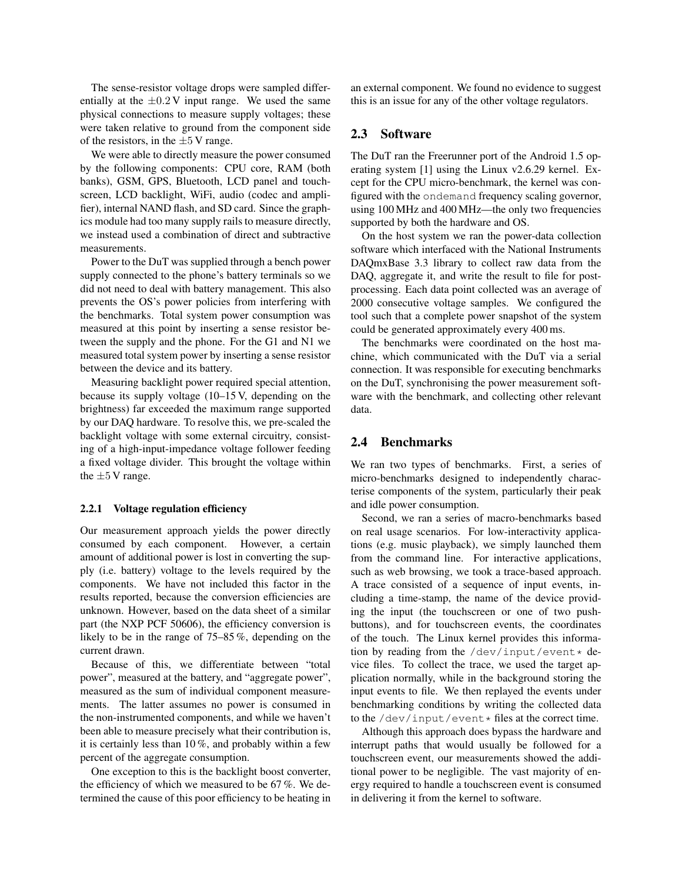The sense-resistor voltage drops were sampled differentially at the  $\pm 0.2$  V input range. We used the same physical connections to measure supply voltages; these were taken relative to ground from the component side of the resistors, in the  $\pm 5$  V range.

We were able to directly measure the power consumed by the following components: CPU core, RAM (both banks), GSM, GPS, Bluetooth, LCD panel and touchscreen, LCD backlight, WiFi, audio (codec and amplifier), internal NAND flash, and SD card. Since the graphics module had too many supply rails to measure directly, we instead used a combination of direct and subtractive measurements.

Power to the DuT was supplied through a bench power supply connected to the phone's battery terminals so we did not need to deal with battery management. This also prevents the OS's power policies from interfering with the benchmarks. Total system power consumption was measured at this point by inserting a sense resistor between the supply and the phone. For the G1 and N1 we measured total system power by inserting a sense resistor between the device and its battery.

Measuring backlight power required special attention, because its supply voltage (10–15 V, depending on the brightness) far exceeded the maximum range supported by our DAQ hardware. To resolve this, we pre-scaled the backlight voltage with some external circuitry, consisting of a high-input-impedance voltage follower feeding a fixed voltage divider. This brought the voltage within the  $\pm 5$  V range.

#### 2.2.1 Voltage regulation efficiency

Our measurement approach yields the power directly consumed by each component. However, a certain amount of additional power is lost in converting the supply (i.e. battery) voltage to the levels required by the components. We have not included this factor in the results reported, because the conversion efficiencies are unknown. However, based on the data sheet of a similar part (the NXP PCF 50606), the efficiency conversion is likely to be in the range of 75–85 %, depending on the current drawn.

Because of this, we differentiate between "total power", measured at the battery, and "aggregate power", measured as the sum of individual component measurements. The latter assumes no power is consumed in the non-instrumented components, and while we haven't been able to measure precisely what their contribution is, it is certainly less than  $10\%$ , and probably within a few percent of the aggregate consumption.

One exception to this is the backlight boost converter, the efficiency of which we measured to be 67 %. We determined the cause of this poor efficiency to be heating in an external component. We found no evidence to suggest this is an issue for any of the other voltage regulators.

# 2.3 Software

The DuT ran the Freerunner port of the Android 1.5 operating system [1] using the Linux v2.6.29 kernel. Except for the CPU micro-benchmark, the kernel was configured with the ondemand frequency scaling governor, using 100 MHz and 400 MHz—the only two frequencies supported by both the hardware and OS.

On the host system we ran the power-data collection software which interfaced with the National Instruments DAQmxBase 3.3 library to collect raw data from the DAQ, aggregate it, and write the result to file for postprocessing. Each data point collected was an average of 2000 consecutive voltage samples. We configured the tool such that a complete power snapshot of the system could be generated approximately every 400 ms.

The benchmarks were coordinated on the host machine, which communicated with the DuT via a serial connection. It was responsible for executing benchmarks on the DuT, synchronising the power measurement software with the benchmark, and collecting other relevant data.

## <span id="page-2-0"></span>2.4 Benchmarks

We ran two types of benchmarks. First, a series of micro-benchmarks designed to independently characterise components of the system, particularly their peak and idle power consumption.

Second, we ran a series of macro-benchmarks based on real usage scenarios. For low-interactivity applications (e.g. music playback), we simply launched them from the command line. For interactive applications, such as web browsing, we took a trace-based approach. A trace consisted of a sequence of input events, including a time-stamp, the name of the device providing the input (the touchscreen or one of two pushbuttons), and for touchscreen events, the coordinates of the touch. The Linux kernel provides this information by reading from the /dev/input/event\* device files. To collect the trace, we used the target application normally, while in the background storing the input events to file. We then replayed the events under benchmarking conditions by writing the collected data to the  $/$ dev $/$ input/event  $*$  files at the correct time.

Although this approach does bypass the hardware and interrupt paths that would usually be followed for a touchscreen event, our measurements showed the additional power to be negligible. The vast majority of energy required to handle a touchscreen event is consumed in delivering it from the kernel to software.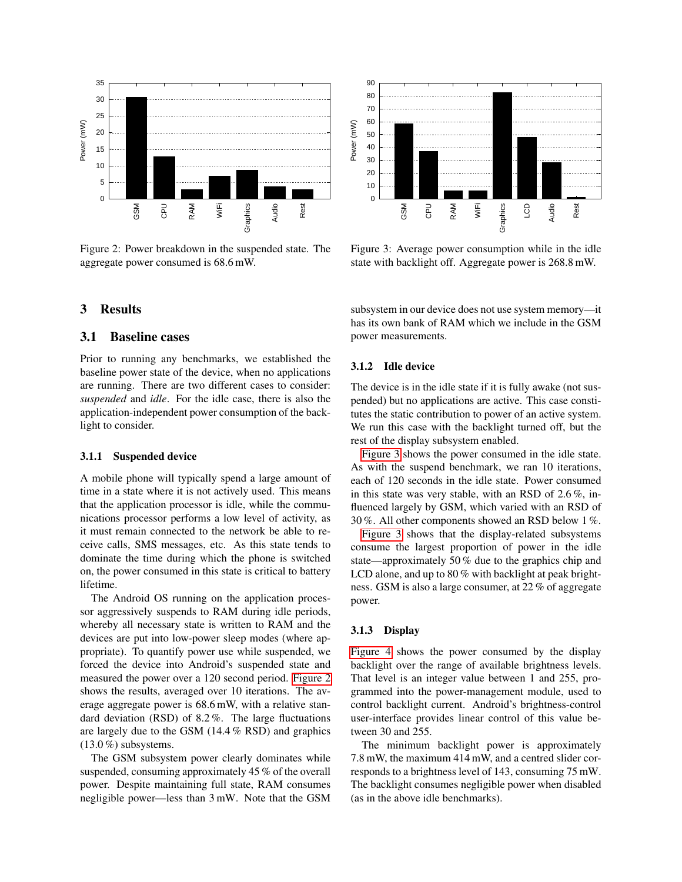

<span id="page-3-1"></span>Figure 2: Power breakdown in the suspended state. The aggregate power consumed is 68.6 mW.

### <span id="page-3-0"></span>3 Results

# 3.1 Baseline cases

Prior to running any benchmarks, we established the baseline power state of the device, when no applications are running. There are two different cases to consider: *suspended* and *idle*. For the idle case, there is also the application-independent power consumption of the backlight to consider.

#### 3.1.1 Suspended device

A mobile phone will typically spend a large amount of time in a state where it is not actively used. This means that the application processor is idle, while the communications processor performs a low level of activity, as it must remain connected to the network be able to receive calls, SMS messages, etc. As this state tends to dominate the time during which the phone is switched on, the power consumed in this state is critical to battery lifetime.

The Android OS running on the application processor aggressively suspends to RAM during idle periods, whereby all necessary state is written to RAM and the devices are put into low-power sleep modes (where appropriate). To quantify power use while suspended, we forced the device into Android's suspended state and measured the power over a 120 second period. [Figure 2](#page-3-1) shows the results, averaged over 10 iterations. The average aggregate power is 68.6 mW, with a relative standard deviation (RSD) of 8.2 %. The large fluctuations are largely due to the GSM (14.4 % RSD) and graphics  $(13.0\%)$  subsystems. **Example 18 maximum and the set of the GSM of the GSM of the GSM of the GSM of the GSM of the GSM of the GSM of the GSM of the GSM of the GSM of the GSM of the GSM of the GSM of the GSM of the GSM of the GSM of the GSM of** 

The GSM subsystem power clearly dominates while suspended, consuming approximately 45 % of the overall power. Despite maintaining full state, RAM consumes



<span id="page-3-2"></span>Figure 3: Average power consumption while in the idle state with backlight off. Aggregate power is 268.8 mW.

subsystem in our device does not use system memory—it has its own bank of RAM which we include in the GSM power measurements.

## 3.1.2 Idle device

The device is in the idle state if it is fully awake (not suspended) but no applications are active. This case constitutes the static contribution to power of an active system. We run this case with the backlight turned off, but the rest of the display subsystem enabled.

[Figure 3](#page-3-2) shows the power consumed in the idle state. As with the suspend benchmark, we ran 10 iterations, each of 120 seconds in the idle state. Power consumed in this state was very stable, with an RSD of 2.6 %, influenced largely by GSM, which varied with an RSD of 30 %. All other components showed an RSD below 1 %.

[Figure 3](#page-3-2) shows that the display-related subsystems consume the largest proportion of power in the idle state—approximately 50 % due to the graphics chip and LCD alone, and up to 80 % with backlight at peak brightness. GSM is also a large consumer, at 22 % of aggregate power.

### 3.1.3 Display

[Figure 4](#page-4-0) shows the power consumed by the display backlight over the range of available brightness levels. That level is an integer value between 1 and 255, programmed into the power-management module, used to control backlight current. Android's brightness-control user-interface provides linear control of this value between 30 and 255.

The minimum backlight power is approximately 7.8 mW, the maximum 414 mW, and a centred slider corresponds to a brightness level of 143, consuming 75 mW. The backlight consumes negligible power when disabled (as in the above idle benchmarks).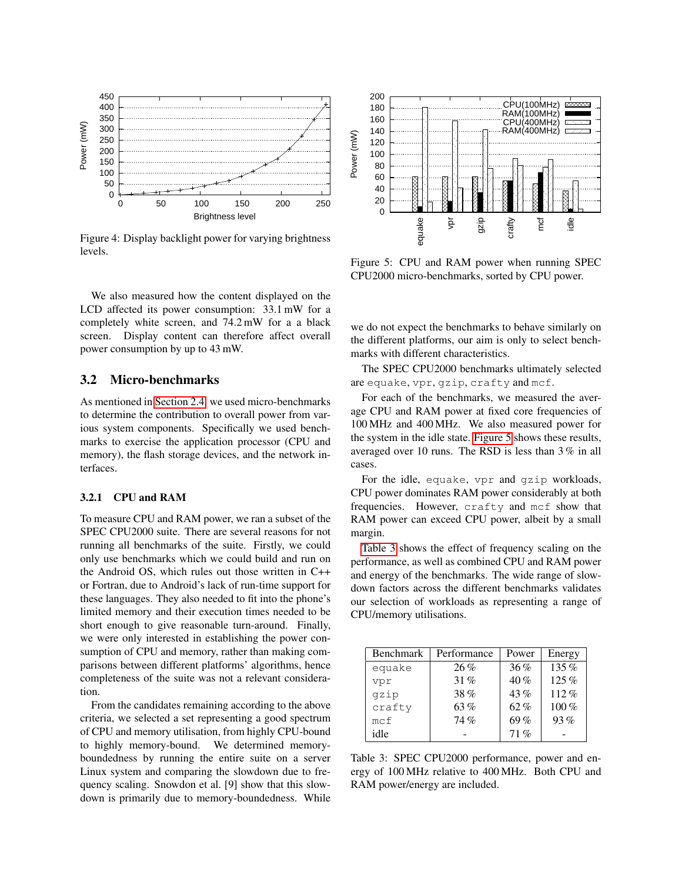

<span id="page-4-0"></span>Figure 4: Display backlight power for varying brightness levels.

We also measured how the content displayed on the LCD affected its power consumption: 33.1 mW for a completely white screen, and 74.2 mW for a a black screen. Display content can therefore affect overall power consumption by up to 43 mW.

# 3.2 Micro-benchmarks

As mentioned in [Section 2.4,](#page-2-0) we used micro-benchmarks to determine the contribution to overall power from various system components. Specifically we used benchmarks to exercise the application processor (CPU and memory), the flash storage devices, and the network interfaces.

### 3.2.1 CPU and RAM

To measure CPU and RAM power, we ran a subset of the SPEC CPU2000 suite. There are several reasons for not running all benchmarks of the suite. Firstly, we could only use benchmarks which we could build and run on the Android OS, which rules out those written in C++ or Fortran, due to Android's lack of run-time support for these languages. They also needed to fit into the phone's limited memory and their execution times needed to be short enough to give reasonable turn-around. Finally, we were only interested in establishing the power consumption of CPU and memory, rather than making comparisons between different platforms' algorithms, hence completeness of the suite was not a relevant consideration. **Example 12**<br> **Example 200 160 160 160 200 280 280 40 40 40 40 40 40 40 40 60 160 160 160 160 160 160 160 200 280 80 86/https sevel eversite and**  $\frac{1}{2}$  **and**  $\frac{1}{2}$  **and**  $\frac{1}{2}$  **and**  $\frac{1}{2}$  **and**  $\frac{1}{2}$  **and \frac{1}{** 

From the candidates remaining according to the above criteria, we selected a set representing a good spectrum of CPU and memory utilisation, from highly CPU-bound to highly memory-bound. We determined memoryboundedness by running the entire suite on a server Linux system and comparing the slowdown due to frequency scaling. Snowdon et al. [9] show that this slow-



<span id="page-4-1"></span>Figure 5: CPU and RAM power when running SPEC CPU2000 micro-benchmarks, sorted by CPU power.

we do not expect the benchmarks to behave similarly on the different platforms, our aim is only to select benchmarks with different characteristics.

The SPEC CPU2000 benchmarks ultimately selected are equake, vpr, gzip, crafty and mcf.

For each of the benchmarks, we measured the average CPU and RAM power at fixed core frequencies of 100 MHz and 400 MHz. We also measured power for the system in the idle state. [Figure 5](#page-4-1) shows these results, averaged over 10 runs. The RSD is less than 3 % in all cases.

For the idle, equake, vpr and gzip workloads, CPU power dominates RAM power considerably at both frequencies. However, crafty and mcf show that RAM power can exceed CPU power, albeit by a small margin.

[Table 3](#page-4-2) shows the effect of frequency scaling on the performance, as well as combined CPU and RAM power and energy of the benchmarks. The wide range of slowdown factors across the different benchmarks validates our selection of workloads as representing a range of CPU/memory utilisations.

| Benchmark | Performance | Power  | Energy  |
|-----------|-------------|--------|---------|
| equake    | 26%         | 36%    | 135%    |
| vpr       | 31%         | $40\%$ | 125%    |
| qzip      | 38%         | 43%    | $112\%$ |
| crafty    | 63%         | $62\%$ | 100%    |
| mcf       | 74%         | 69%    | 93%     |
| idle      |             | 71%    |         |

<span id="page-4-2"></span>Table 3: SPEC CPU2000 performance, power and energy of 100 MHz relative to 400 MHz. Both CPU and RAM power/energy are included.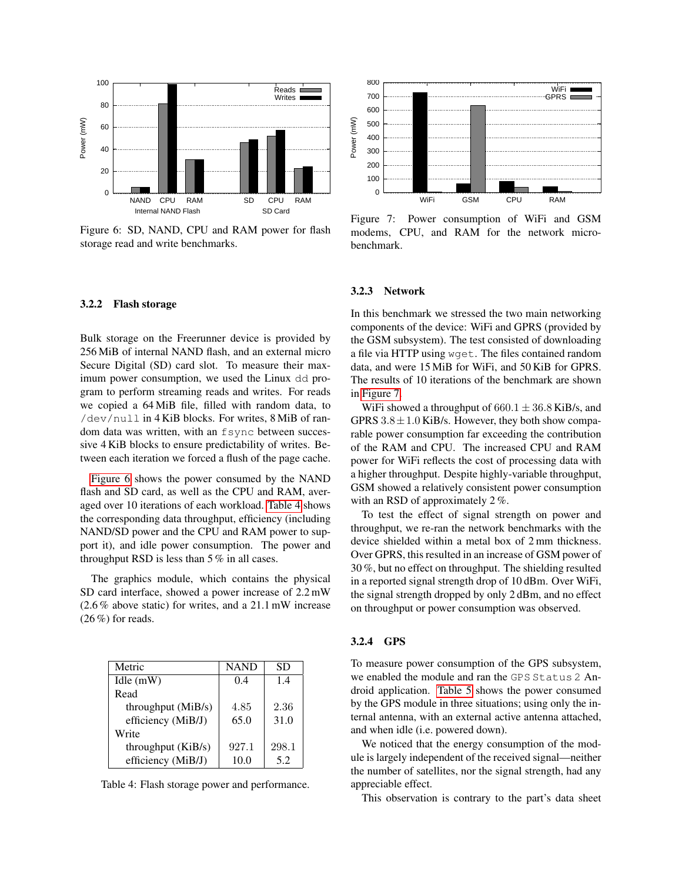

<span id="page-5-0"></span>Figure 6: SD, NAND, CPU and RAM power for flash storage read and write benchmarks.

### 3.2.2 Flash storage

Bulk storage on the Freerunner device is provided by 256 MiB of internal NAND flash, and an external micro Secure Digital (SD) card slot. To measure their maximum power consumption, we used the Linux dd program to perform streaming reads and writes. For reads we copied a 64 MiB file, filled with random data, to /dev/null in 4 KiB blocks. For writes, 8 MiB of random data was written, with an fsync between successive 4 KiB blocks to ensure predictability of writes. Between each iteration we forced a flush of the page cache. **Example 12.** The storage power consumed by the NAND and storage power for the SS care is D. NAND, CPU and RAM power for flash in Figure er e. SD, NAND, CPU and RAM power for flash in Figure and and write benchmarks.<br> **Ex** 

[Figure 6](#page-5-0) shows the power consumed by the NAND flash and SD card, as well as the CPU and RAM, averaged over 10 iterations of each workload. [Table 4](#page-5-1) shows the corresponding data throughput, efficiency (including NAND/SD power and the CPU and RAM power to support it), and idle power consumption. The power and throughput RSD is less than 5 % in all cases.

The graphics module, which contains the physical SD card interface, showed a power increase of 2.2 mW (2.6 % above static) for writes, and a 21.1 mW increase  $(26\%)$  for reads.

| Metric             | <b>NAND</b> | SD    |
|--------------------|-------------|-------|
| Idle $(mW)$        | 0.4         | 1.4   |
| Read               |             |       |
| throughput (MiB/s) | 4.85        | 2.36  |
| efficiency (MiB/J) | 65.0        | 31.0  |
| Write              |             |       |
| throughput (KiB/s) | 927.1       | 298.1 |
| efficiency (MiB/J) | 10.0        | 5.2   |

<span id="page-5-1"></span>



<span id="page-5-2"></span>Figure 7: Power consumption of WiFi and GSM modems, CPU, and RAM for the network microbenchmark.

#### 3.2.3 Network

In this benchmark we stressed the two main networking components of the device: WiFi and GPRS (provided by the GSM subsystem). The test consisted of downloading a file via HTTP using wget. The files contained random data, and were 15 MiB for WiFi, and 50 KiB for GPRS. The results of 10 iterations of the benchmark are shown in [Figure 7.](#page-5-2)

WiFi showed a throughput of  $660.1 \pm 36.8$  KiB/s, and GPRS  $3.8 \pm 1.0$  KiB/s. However, they both show comparable power consumption far exceeding the contribution of the RAM and CPU. The increased CPU and RAM power for WiFi reflects the cost of processing data with a higher throughput. Despite highly-variable throughput, GSM showed a relatively consistent power consumption with an RSD of approximately 2 %.

To test the effect of signal strength on power and throughput, we re-ran the network benchmarks with the device shielded within a metal box of 2 mm thickness. Over GPRS, this resulted in an increase of GSM power of 30 %, but no effect on throughput. The shielding resulted in a reported signal strength drop of 10 dBm. Over WiFi, the signal strength dropped by only 2 dBm, and no effect on throughput or power consumption was observed.

#### 3.2.4 GPS

To measure power consumption of the GPS subsystem, we enabled the module and ran the GPS Status 2 Android application. [Table 5](#page-6-0) shows the power consumed by the GPS module in three situations; using only the internal antenna, with an external active antenna attached, and when idle (i.e. powered down).

We noticed that the energy consumption of the module is largely independent of the received signal—neither the number of satellites, nor the signal strength, had any appreciable effect.

This observation is contrary to the part's data sheet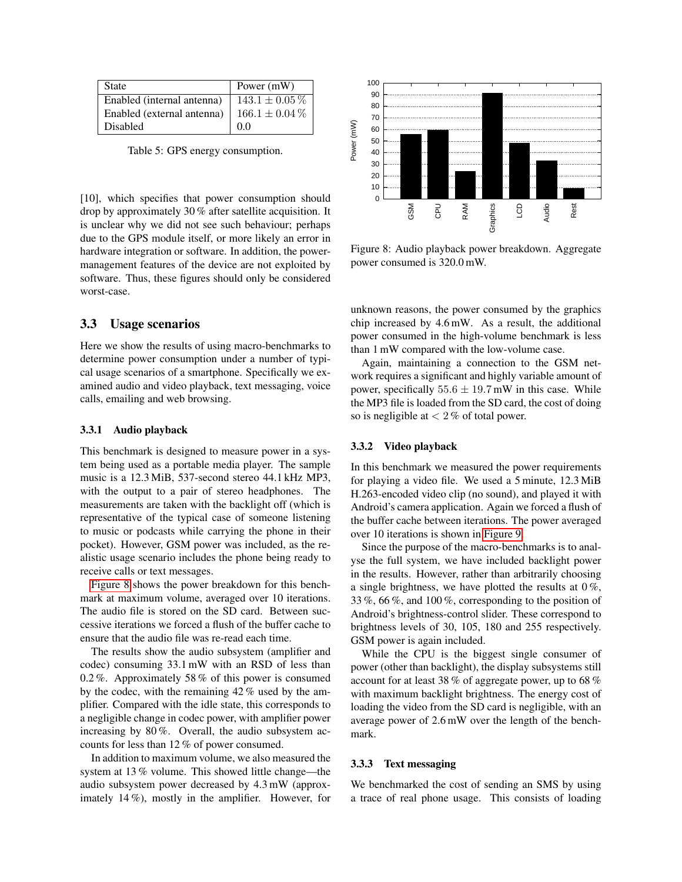| <b>State</b>               | Power (mW)         |
|----------------------------|--------------------|
| Enabled (internal antenna) | $143.1 \pm 0.05\%$ |
| Enabled (external antenna) | $166.1 \pm 0.04\%$ |
| <b>Disabled</b>            | 00                 |

<span id="page-6-0"></span>Table 5: GPS energy consumption.

[10], which specifies that power consumption should drop by approximately 30 % after satellite acquisition. It is unclear why we did not see such behaviour; perhaps due to the GPS module itself, or more likely an error in hardware integration or software. In addition, the powermanagement features of the device are not exploited by software. Thus, these figures should only be considered worst-case.

# 3.3 Usage scenarios

Here we show the results of using macro-benchmarks to determine power consumption under a number of typical usage scenarios of a smartphone. Specifically we examined audio and video playback, text messaging, voice calls, emailing and web browsing.

#### 3.3.1 Audio playback

This benchmark is designed to measure power in a system being used as a portable media player. The sample music is a 12.3 MiB, 537-second stereo 44.1 kHz MP3, with the output to a pair of stereo headphones. The measurements are taken with the backlight off (which is representative of the typical case of someone listening to music or podcasts while carrying the phone in their pocket). However, GSM power was included, as the realistic usage scenario includes the phone being ready to receive calls or text messages. **Example 14** (moreover, GRM power consumption,<br>
The Studied This Studied This Studied This Studied This Studies of the amplifier amplies that move that the amplifier and the amplifier amplifier and the consumption of the

[Figure 8](#page-6-1) shows the power breakdown for this benchmark at maximum volume, averaged over 10 iterations. The audio file is stored on the SD card. Between successive iterations we forced a flush of the buffer cache to ensure that the audio file was re-read each time.

The results show the audio subsystem (amplifier and codec) consuming 33.1 mW with an RSD of less than 0.2 %. Approximately 58 % of this power is consumed by the codec, with the remaining 42 % used by the amplifier. Compared with the idle state, this corresponds to a negligible change in codec power, with amplifier power increasing by 80 %. Overall, the audio subsystem accounts for less than 12 % of power consumed.

In addition to maximum volume, we also measured the system at 13 % volume. This showed little change—the audio subsystem power decreased by 4.3 mW (approx-



<span id="page-6-1"></span>Figure 8: Audio playback power breakdown. Aggregate power consumed is 320.0 mW.

unknown reasons, the power consumed by the graphics chip increased by 4.6 mW. As a result, the additional power consumed in the high-volume benchmark is less than 1 mW compared with the low-volume case.

Again, maintaining a connection to the GSM network requires a significant and highly variable amount of power, specifically  $55.6 \pm 19.7$  mW in this case. While the MP3 file is loaded from the SD card, the cost of doing so is negligible at  $< 2\%$  of total power.

#### 3.3.2 Video playback

In this benchmark we measured the power requirements for playing a video file. We used a 5 minute, 12.3 MiB H.263-encoded video clip (no sound), and played it with Android's camera application. Again we forced a flush of the buffer cache between iterations. The power averaged over 10 iterations is shown in [Figure 9.](#page-7-0)

Since the purpose of the macro-benchmarks is to analyse the full system, we have included backlight power in the results. However, rather than arbitrarily choosing a single brightness, we have plotted the results at  $0\%$ , 33 %, 66 %, and 100 %, corresponding to the position of Android's brightness-control slider. These correspond to brightness levels of 30, 105, 180 and 255 respectively. GSM power is again included.

While the CPU is the biggest single consumer of power (other than backlight), the display subsystems still account for at least 38 % of aggregate power, up to 68 % with maximum backlight brightness. The energy cost of loading the video from the SD card is negligible, with an average power of 2.6 mW over the length of the benchmark.

#### 3.3.3 Text messaging

We benchmarked the cost of sending an SMS by using a trace of real phone usage. This consists of loading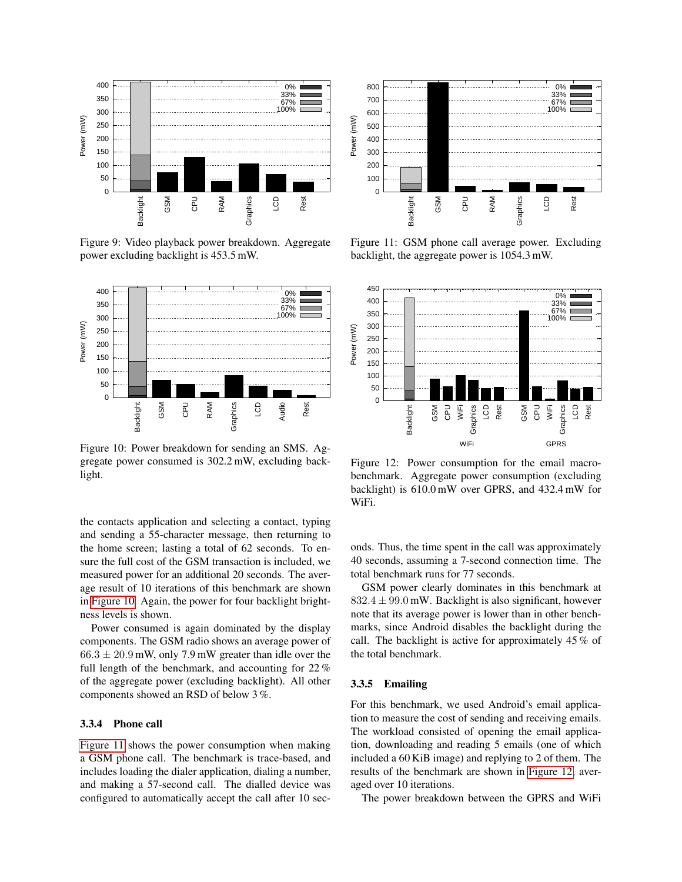

<span id="page-7-0"></span>Figure 9: Video playback power breakdown. Aggregate power excluding backlight is 453.5 mW.



<span id="page-7-1"></span>Figure 10: Power breakdown for sending an SMS. Aggregate power consumed is 302.2 mW, excluding backlight.

the contacts application and selecting a contact, typing and sending a 55-character message, then returning to the home screen; lasting a total of 62 seconds. To ensure the full cost of the GSM transaction is included, we measured power for an additional 20 seconds. The average result of 10 iterations of this benchmark are shown in [Figure 10.](#page-7-1) Again, the power for four backlight brightness levels is shown.

Power consumed is again dominated by the display components. The GSM radio shows an average power of  $66.3 \pm 20.9$  mW, only 7.9 mW greater than idle over the full length of the benchmark, and accounting for 22 % of the aggregate power (excluding backlight). All other components showed an RSD of below 3 %.

### 3.3.4 Phone call

[Figure 11](#page-7-2) shows the power consumption when making a GSM phone call. The benchmark is trace-based, and includes loading the dialer application, dialing a number, and making a 57-second call. The dialled device was



<span id="page-7-2"></span>Figure 11: GSM phone call average power. Excluding backlight, the aggregate power is 1054.3 mW.



<span id="page-7-3"></span>Figure 12: Power consumption for the email macrobenchmark. Aggregate power consumption (excluding backlight) is 610.0 mW over GPRS, and 432.4 mW for WiFi.

onds. Thus, the time spent in the call was approximately 40 seconds, assuming a 7-second connection time. The total benchmark runs for 77 seconds.

GSM power clearly dominates in this benchmark at  $832.4 \pm 99.0$  mW. Backlight is also significant, however note that its average power is lower than in other benchmarks, since Android disables the backlight during the call. The backlight is active for approximately 45 % of the total benchmark.

#### 3.3.5 Emailing

For this benchmark, we used Android's email application to measure the cost of sending and receiving emails. The workload consisted of opening the email application, downloading and reading 5 emails (one of which included a 60 KiB image) and replying to 2 of them. The results of the benchmark are shown in [Figure 12,](#page-7-3) averaged over 10 iterations.

The power breakdown between the GPRS and WiFi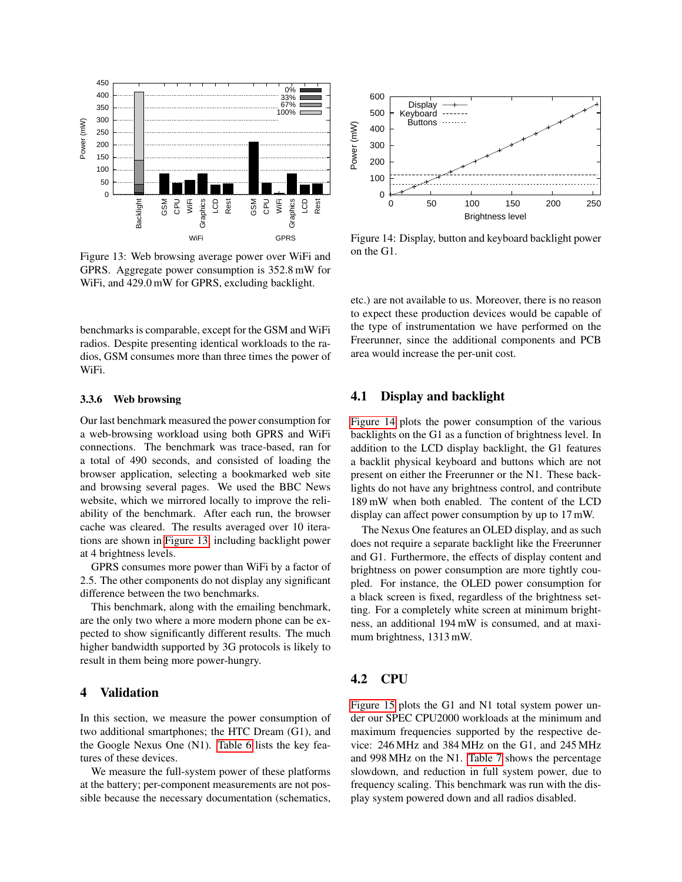

<span id="page-8-1"></span>Figure 13: Web browsing average power over WiFi and GPRS. Aggregate power consumption is 352.8 mW for WiFi, and 429.0 mW for GPRS, excluding backlight.

benchmarks is comparable, except for the GSM and WiFi radios. Despite presenting identical workloads to the radios, GSM consumes more than three times the power of WiFi.

#### 3.3.6 Web browsing

Our last benchmark measured the power consumption for a web-browsing workload using both GPRS and WiFi connections. The benchmark was trace-based, ran for a total of 490 seconds, and consisted of loading the browser application, selecting a bookmarked web site and browsing several pages. We used the BBC News website, which we mirrored locally to improve the reliability of the benchmark. After each run, the browser cache was cleared. The results averaged over 10 iterations are shown in [Figure 13,](#page-8-1) including backlight power at 4 brightness levels. since the necessary of the necessary of the necessary documentation (schematical policy). The necessary documentation (schematical policy) and the necessary documentation (schematics, Depression (schematics, Depression (s

GPRS consumes more power than WiFi by a factor of 2.5. The other components do not display any significant difference between the two benchmarks.

This benchmark, along with the emailing benchmark, are the only two where a more modern phone can be expected to show significantly different results. The much higher bandwidth supported by 3G protocols is likely to result in them being more power-hungry.

### <span id="page-8-0"></span>4 Validation

In this section, we measure the power consumption of two additional smartphones; the HTC Dream (G1), and the Google Nexus One (N1). [Table 6](#page-9-0) lists the key features of these devices.

We measure the full-system power of these platforms at the battery; per-component measurements are not pos-



<span id="page-8-2"></span>Figure 14: Display, button and keyboard backlight power on the G1.

etc.) are not available to us. Moreover, there is no reason to expect these production devices would be capable of the type of instrumentation we have performed on the Freerunner, since the additional components and PCB area would increase the per-unit cost.

## 4.1 Display and backlight

[Figure 14](#page-8-2) plots the power consumption of the various backlights on the G1 as a function of brightness level. In addition to the LCD display backlight, the G1 features a backlit physical keyboard and buttons which are not present on either the Freerunner or the N1. These backlights do not have any brightness control, and contribute 189 mW when both enabled. The content of the LCD display can affect power consumption by up to 17 mW.

The Nexus One features an OLED display, and as such does not require a separate backlight like the Freerunner and G1. Furthermore, the effects of display content and brightness on power consumption are more tightly coupled. For instance, the OLED power consumption for a black screen is fixed, regardless of the brightness setting. For a completely white screen at minimum brightness, an additional 194 mW is consumed, and at maximum brightness, 1313 mW.

# 4.2 CPU

[Figure 15](#page-9-1) plots the G1 and N1 total system power under our SPEC CPU2000 workloads at the minimum and maximum frequencies supported by the respective device: 246 MHz and 384 MHz on the G1, and 245 MHz and 998 MHz on the N1. [Table 7](#page-9-2) shows the percentage slowdown, and reduction in full system power, due to frequency scaling. This benchmark was run with the display system powered down and all radios disabled.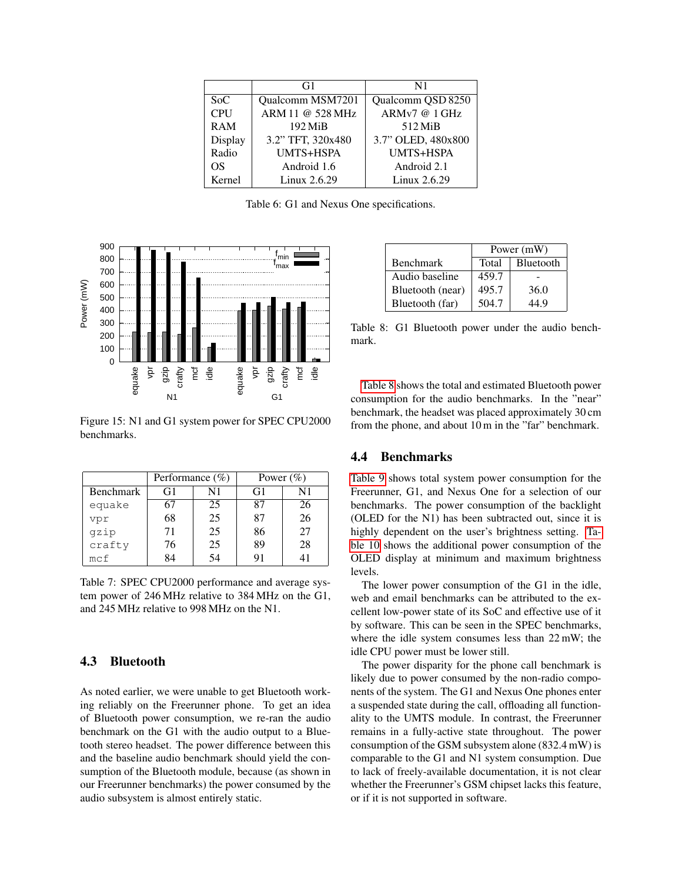|                  | G1                | N1                 |
|------------------|-------------------|--------------------|
| S <sub>0</sub> C | Qualcomm MSM7201  | Qualcomm QSD 8250  |
| CPU              | ARM 11 @ 528 MHz  | ARMv7 @ 1 GHz      |
| <b>RAM</b>       | 192 MiB           | 512 MiB            |
| Display          | 3.2" TFT, 320x480 | 3.7" OLED, 480x800 |
| Radio            | UMTS+HSPA         | <b>UMTS+HSPA</b>   |
| OS               | Android 1.6       | Android 2.1        |
| Kernel           | Linux 2.6.29      | Linux 2.6.29       |

<span id="page-9-0"></span>Table 6: G1 and Nexus One specifications.



<span id="page-9-1"></span>Figure 15: N1 and G1 system power for SPEC CPU2000 benchmarks.

|                  | Performance $(\%)$ |    |    | Power $(\% )$ |
|------------------|--------------------|----|----|---------------|
| <b>Benchmark</b> | G1                 | N1 | G1 | N1            |
| equake           | 67                 | 25 | 87 | 26            |
| vpr              | 68                 | 25 | 87 | 26            |
| gzip             | 71                 | 25 | 86 | 27            |
| crafty           | 76                 | 25 | 89 | 28            |
| mcf              | 84                 | 54 | 91 |               |

<span id="page-9-2"></span>Table 7: SPEC CPU2000 performance and average system power of 246 MHz relative to 384 MHz on the G1, and 245 MHz relative to 998 MHz on the N1.

## 4.3 Bluetooth

As noted earlier, we were unable to get Bluetooth working reliably on the Freerunner phone. To get an idea of Bluetooth power consumption, we re-ran the audio benchmark on the G1 with the audio output to a Bluetooth stereo headset. The power difference between this and the baseline audio benchmark should yield the consumption of the Bluetooth module, because (as shown in our Freerunner benchmarks) the power consumed by the audio subsystem is almost entirely static.

|                  | Power (mW) |           |
|------------------|------------|-----------|
| <b>Benchmark</b> | Total      | Bluetooth |
| Audio baseline   | 459.7      |           |
| Bluetooth (near) | 495.7      | 36.0      |
| Bluetooth (far)  | 504.7      | 44.9      |

<span id="page-9-3"></span>Table 8: G1 Bluetooth power under the audio benchmark.

[Table 8](#page-9-3) shows the total and estimated Bluetooth power consumption for the audio benchmarks. In the "near" benchmark, the headset was placed approximately 30 cm from the phone, and about 10 m in the "far" benchmark.

### 4.4 Benchmarks

[Table 9](#page-10-1) shows total system power consumption for the Freerunner, G1, and Nexus One for a selection of our benchmarks. The power consumption of the backlight (OLED for the N1) has been subtracted out, since it is highly dependent on the user's brightness setting. [Ta](#page-10-2)[ble 10](#page-10-2) shows the additional power consumption of the OLED display at minimum and maximum brightness levels.

The lower power consumption of the G1 in the idle, web and email benchmarks can be attributed to the excellent low-power state of its SoC and effective use of it by software. This can be seen in the SPEC benchmarks, where the idle system consumes less than 22 mW; the idle CPU power must be lower still.

The power disparity for the phone call benchmark is likely due to power consumed by the non-radio components of the system. The G1 and Nexus One phones enter a suspended state during the call, offloading all functionality to the UMTS module. In contrast, the Freerunner remains in a fully-active state throughout. The power consumption of the GSM subsystem alone (832.4 mW) is comparable to the G1 and N1 system consumption. Due to lack of freely-available documentation, it is not clear whether the Freerunner's GSM chipset lacks this feature, or if it is not supported in software.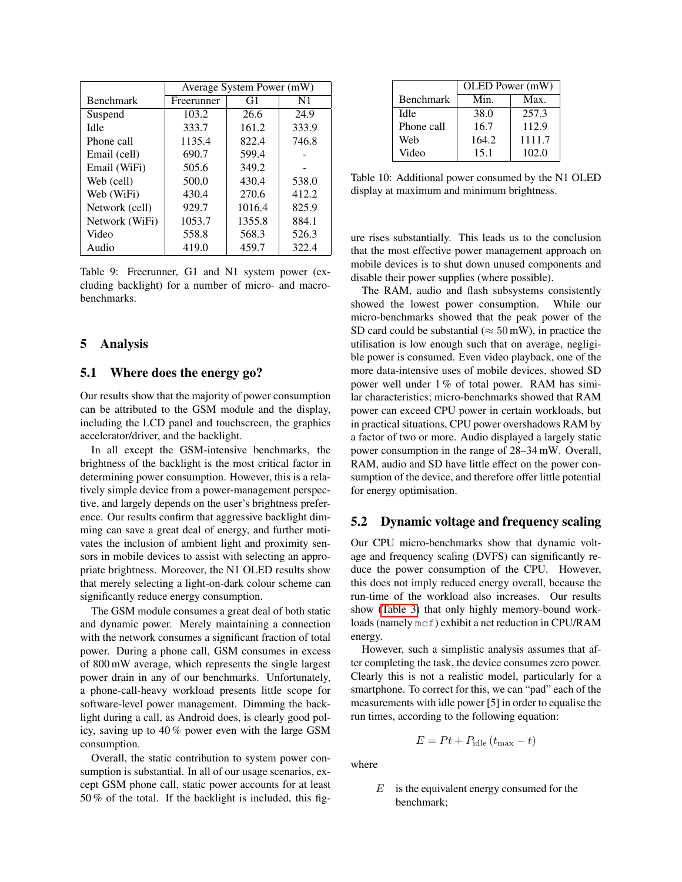|                  | Average System Power (mW) |        |       |
|------------------|---------------------------|--------|-------|
| <b>Benchmark</b> | Freerunner                | G1     | N1    |
| Suspend          | 103.2                     | 26.6   | 24.9  |
| Idle             | 333.7                     | 161.2  | 333.9 |
| Phone call       | 1135.4                    | 822.4  | 746.8 |
| Email (cell)     | 690.7                     | 599.4  |       |
| Email (WiFi)     | 505.6                     | 349.2  |       |
| Web (cell)       | 500.0                     | 430.4  | 538.0 |
| Web (WiFi)       | 430.4                     | 270.6  | 412.2 |
| Network (cell)   | 929.7                     | 1016.4 | 825.9 |
| Network (WiFi)   | 1053.7                    | 1355.8 | 884.1 |
| Video            | 558.8                     | 568.3  | 526.3 |
| Audio            | 419.0                     | 459.7  | 322.4 |

<span id="page-10-1"></span>Table 9: Freerunner, G1 and N1 system power (excluding backlight) for a number of micro- and macrobenchmarks.

## <span id="page-10-0"></span>5 Analysis

## 5.1 Where does the energy go?

Our results show that the majority of power consumption can be attributed to the GSM module and the display, including the LCD panel and touchscreen, the graphics accelerator/driver, and the backlight.

In all except the GSM-intensive benchmarks, the brightness of the backlight is the most critical factor in determining power consumption. However, this is a relatively simple device from a power-management perspective, and largely depends on the user's brightness preference. Our results confirm that aggressive backlight dimming can save a great deal of energy, and further motivates the inclusion of ambient light and proximity sensors in mobile devices to assist with selecting an appropriate brightness. Moreover, the N1 OLED results show that merely selecting a light-on-dark colour scheme can significantly reduce energy consumption.

The GSM module consumes a great deal of both static and dynamic power. Merely maintaining a connection with the network consumes a significant fraction of total power. During a phone call, GSM consumes in excess of 800 mW average, which represents the single largest power drain in any of our benchmarks. Unfortunately, a phone-call-heavy workload presents little scope for software-level power management. Dimming the backlight during a call, as Android does, is clearly good policy, saving up to 40 % power even with the large GSM consumption.

Overall, the static contribution to system power consumption is substantial. In all of our usage scenarios, except GSM phone call, static power accounts for at least 50 % of the total. If the backlight is included, this fig-

|                  | OLED Power (mW) |        |
|------------------|-----------------|--------|
| <b>Benchmark</b> | Min.            | Max.   |
| Idle             | 38.0            | 257.3  |
| Phone call       | 16.7            | 112.9  |
| Web              | 164.2           | 1111.7 |
| Video            | 15.1            | 102.0  |

<span id="page-10-2"></span>Table 10: Additional power consumed by the N1 OLED display at maximum and minimum brightness.

ure rises substantially. This leads us to the conclusion that the most effective power management approach on mobile devices is to shut down unused components and disable their power supplies (where possible).

The RAM, audio and flash subsystems consistently showed the lowest power consumption. While our micro-benchmarks showed that the peak power of the SD card could be substantial ( $\approx 50$  mW), in practice the utilisation is low enough such that on average, negligible power is consumed. Even video playback, one of the more data-intensive uses of mobile devices, showed SD power well under 1 % of total power. RAM has similar characteristics; micro-benchmarks showed that RAM power can exceed CPU power in certain workloads, but in practical situations, CPU power overshadows RAM by a factor of two or more. Audio displayed a largely static power consumption in the range of 28–34 mW. Overall, RAM, audio and SD have little effect on the power consumption of the device, and therefore offer little potential for energy optimisation.

### 5.2 Dynamic voltage and frequency scaling

Our CPU micro-benchmarks show that dynamic voltage and frequency scaling (DVFS) can significantly reduce the power consumption of the CPU. However, this does not imply reduced energy overall, because the run-time of the workload also increases. Our results show [\(Table 3\)](#page-4-2) that only highly memory-bound workloads (namely mcf) exhibit a net reduction in CPU/RAM energy.

However, such a simplistic analysis assumes that after completing the task, the device consumes zero power. Clearly this is not a realistic model, particularly for a smartphone. To correct for this, we can "pad" each of the measurements with idle power [5] in order to equalise the run times, according to the following equation:

$$
E = Pt + P_{\text{idle}}(t_{\text{max}} - t)
$$

where

 $E$  is the equivalent energy consumed for the benchmark;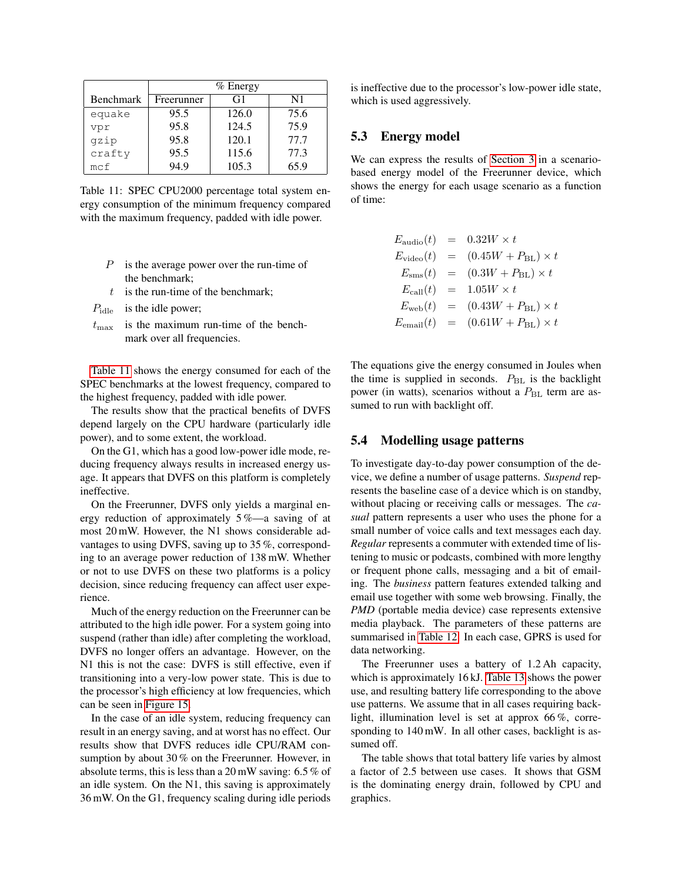|                  | $%$ Energy |       |      |
|------------------|------------|-------|------|
| <b>Benchmark</b> | Freerunner | G1    | N1   |
| equake           | 95.5       | 126.0 | 75.6 |
| vpr              | 95.8       | 124.5 | 75.9 |
| qzip             | 95.8       | 120.1 | 77.7 |
| crafty           | 95.5       | 115.6 | 77.3 |
| mcf              | 94.9       | 105.3 | 65.9 |

<span id="page-11-0"></span>Table 11: SPEC CPU2000 percentage total system energy consumption of the minimum frequency compared with the maximum frequency, padded with idle power.

- $P$  is the average power over the run-time of the benchmark;
- $t$  is the run-time of the benchmark;
- $P_{\text{idle}}$  is the idle power;
- $t_{\text{max}}$  is the maximum run-time of the benchmark over all frequencies.

[Table 11](#page-11-0) shows the energy consumed for each of the SPEC benchmarks at the lowest frequency, compared to the highest frequency, padded with idle power.

The results show that the practical benefits of DVFS depend largely on the CPU hardware (particularly idle power), and to some extent, the workload.

On the G1, which has a good low-power idle mode, reducing frequency always results in increased energy usage. It appears that DVFS on this platform is completely ineffective.

On the Freerunner, DVFS only yields a marginal energy reduction of approximately 5 %—a saving of at most 20 mW. However, the N1 shows considerable advantages to using DVFS, saving up to 35 %, corresponding to an average power reduction of 138 mW. Whether or not to use DVFS on these two platforms is a policy decision, since reducing frequency can affect user experience.

Much of the energy reduction on the Freerunner can be attributed to the high idle power. For a system going into suspend (rather than idle) after completing the workload, DVFS no longer offers an advantage. However, on the N1 this is not the case: DVFS is still effective, even if transitioning into a very-low power state. This is due to the processor's high efficiency at low frequencies, which can be seen in [Figure 15.](#page-9-1)

In the case of an idle system, reducing frequency can result in an energy saving, and at worst has no effect. Our results show that DVFS reduces idle CPU/RAM consumption by about 30 % on the Freerunner. However, in absolute terms, this is less than a 20 mW saving: 6.5 % of an idle system. On the N1, this saving is approximately 36 mW. On the G1, frequency scaling during idle periods is ineffective due to the processor's low-power idle state, which is used aggressively.

# 5.3 Energy model

We can express the results of [Section 3](#page-3-0) in a scenariobased energy model of the Freerunner device, which shows the energy for each usage scenario as a function of time:

| $E_{\rm audio}(t)$    | $=$ $-$ | $0.32W \times t$                |
|-----------------------|---------|---------------------------------|
| $E_{\text{video}}(t)$ | $=$     | $(0.45W + P_{BL}) \times t$     |
| $E_{\rm sms}(t)$      |         | $= (0.3W + P_{BL}) \times t$    |
| $E_{\text{call}}(t)$  | $=$     | $1.05W \times t$                |
| $E_{\rm web}(t)$      | $=$     | $(0.43W + P_{BL}) \times t$     |
| $E_{\text{email}}(t)$ | $=$     | $(0.61W + P_{\rm BL}) \times t$ |

The equations give the energy consumed in Joules when the time is supplied in seconds.  $P_{BL}$  is the backlight power (in watts), scenarios without a  $P_{BL}$  term are assumed to run with backlight off.

### 5.4 Modelling usage patterns

To investigate day-to-day power consumption of the device, we define a number of usage patterns. *Suspend* represents the baseline case of a device which is on standby, without placing or receiving calls or messages. The *casual* pattern represents a user who uses the phone for a small number of voice calls and text messages each day. *Regular* represents a commuter with extended time of listening to music or podcasts, combined with more lengthy or frequent phone calls, messaging and a bit of emailing. The *business* pattern features extended talking and email use together with some web browsing. Finally, the *PMD* (portable media device) case represents extensive media playback. The parameters of these patterns are summarised in [Table 12.](#page-12-2) In each case, GPRS is used for data networking.

The Freerunner uses a battery of 1.2 Ah capacity, which is approximately 16 kJ. [Table 13](#page-12-3) shows the power use, and resulting battery life corresponding to the above use patterns. We assume that in all cases requiring backlight, illumination level is set at approx 66 %, corresponding to 140 mW. In all other cases, backlight is assumed off.

The table shows that total battery life varies by almost a factor of 2.5 between use cases. It shows that GSM is the dominating energy drain, followed by CPU and graphics.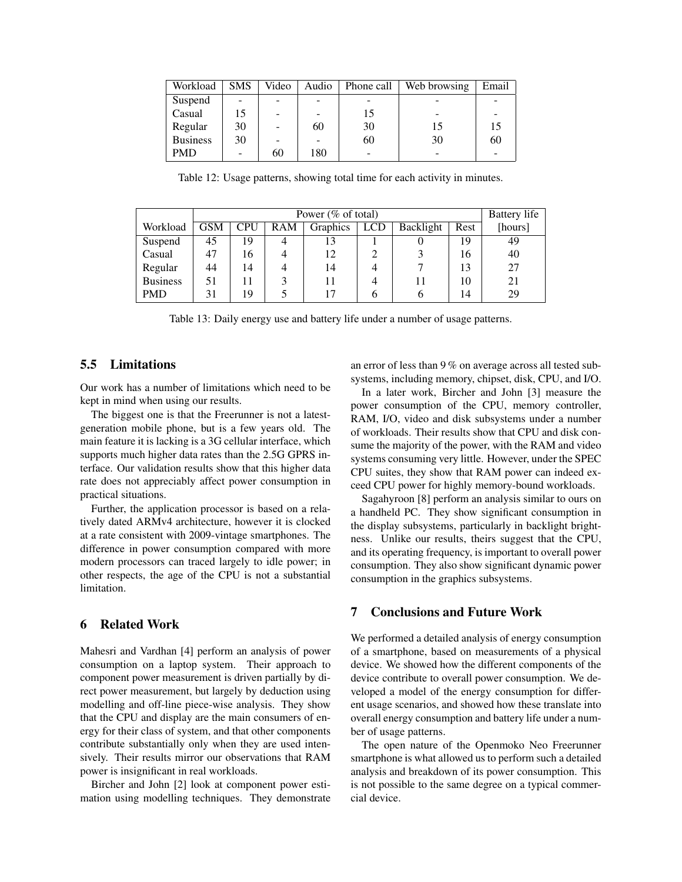| Workload        | <b>SMS</b> | Video | Audio | Phone call | Web browsing | Email |
|-----------------|------------|-------|-------|------------|--------------|-------|
| Suspend         |            |       |       |            |              |       |
| Casual          | 15         |       |       | 15         |              |       |
| Regular         | 30         |       | 60    | 30         | 15           | 15    |
| <b>Business</b> | 30         |       |       | 60         | 30           | 60    |
| <b>PMD</b>      | -          | 60    | 180   |            |              |       |

<span id="page-12-2"></span>Table 12: Usage patterns, showing total time for each activity in minutes.

|                 |            | <b>Battery</b> life |     |          |            |           |      |         |
|-----------------|------------|---------------------|-----|----------|------------|-----------|------|---------|
| Workload        | <b>GSM</b> | <b>CPU</b>          | RAM | Graphics | <b>LCD</b> | Backlight | Rest | [hours] |
| Suspend         | 45         | 19                  | 4   | 13       |            |           | 19   | 49      |
| Casual          | 47         | 16                  |     | 12       |            |           | 16   | 40      |
| Regular         | 44         | 14                  |     | 14       |            |           | 13   | 27      |
| <b>Business</b> | 51         | 11                  |     |          |            |           | 10   | 21      |
| <b>PMD</b>      | 31         | 19                  |     |          | h          |           | 14   | 29      |

<span id="page-12-3"></span>Table 13: Daily energy use and battery life under a number of usage patterns.

## 5.5 Limitations

Our work has a number of limitations which need to be kept in mind when using our results.

The biggest one is that the Freerunner is not a latestgeneration mobile phone, but is a few years old. The main feature it is lacking is a 3G cellular interface, which supports much higher data rates than the 2.5G GPRS interface. Our validation results show that this higher data rate does not appreciably affect power consumption in practical situations.

Further, the application processor is based on a relatively dated ARMv4 architecture, however it is clocked at a rate consistent with 2009-vintage smartphones. The difference in power consumption compared with more modern processors can traced largely to idle power; in other respects, the age of the CPU is not a substantial limitation.

# <span id="page-12-0"></span>6 Related Work

Mahesri and Vardhan [4] perform an analysis of power consumption on a laptop system. Their approach to component power measurement is driven partially by direct power measurement, but largely by deduction using modelling and off-line piece-wise analysis. They show that the CPU and display are the main consumers of energy for their class of system, and that other components contribute substantially only when they are used intensively. Their results mirror our observations that RAM power is insignificant in real workloads.

Bircher and John [2] look at component power estimation using modelling techniques. They demonstrate an error of less than 9 % on average across all tested subsystems, including memory, chipset, disk, CPU, and I/O.

In a later work, Bircher and John [3] measure the power consumption of the CPU, memory controller, RAM, I/O, video and disk subsystems under a number of workloads. Their results show that CPU and disk consume the majority of the power, with the RAM and video systems consuming very little. However, under the SPEC CPU suites, they show that RAM power can indeed exceed CPU power for highly memory-bound workloads.

Sagahyroon [8] perform an analysis similar to ours on a handheld PC. They show significant consumption in the display subsystems, particularly in backlight brightness. Unlike our results, theirs suggest that the CPU, and its operating frequency, is important to overall power consumption. They also show significant dynamic power consumption in the graphics subsystems.

# <span id="page-12-1"></span>7 Conclusions and Future Work

We performed a detailed analysis of energy consumption of a smartphone, based on measurements of a physical device. We showed how the different components of the device contribute to overall power consumption. We developed a model of the energy consumption for different usage scenarios, and showed how these translate into overall energy consumption and battery life under a number of usage patterns.

The open nature of the Openmoko Neo Freerunner smartphone is what allowed us to perform such a detailed analysis and breakdown of its power consumption. This is not possible to the same degree on a typical commercial device.